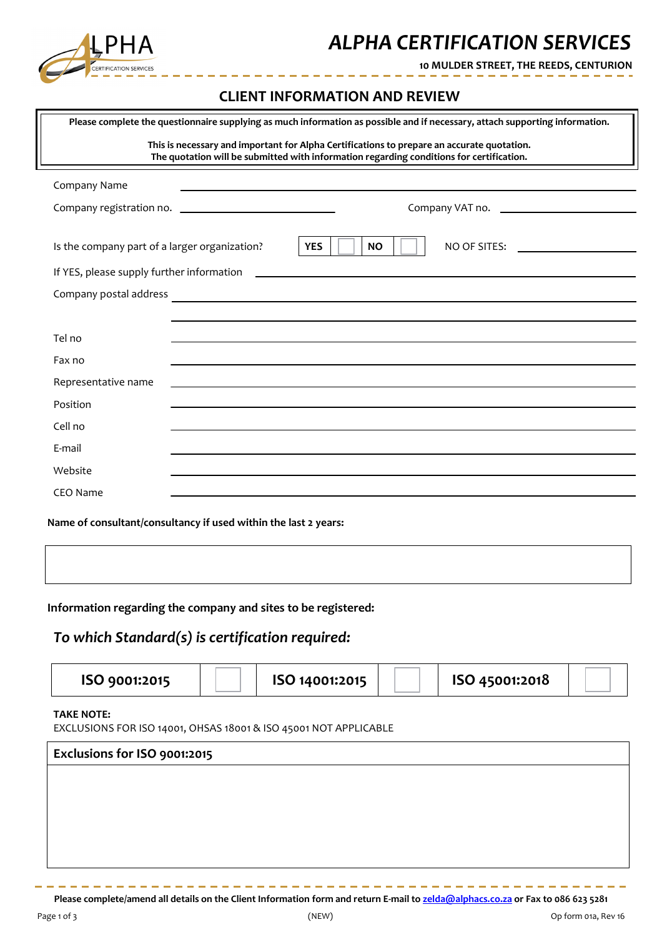

### *ALPHA CERTIFICATION SERVICES*

**10 MULDER STREET, THE REEDS, CENTURION**

#### **CLIENT INFORMATION AND REVIEW**

L.

 $\sim$   $-$ 

|                                                                                                                                                                                        | Please complete the questionnaire supplying as much information as possible and if necessary, attach supporting information.                                                                                                         |  |  |  |  |
|----------------------------------------------------------------------------------------------------------------------------------------------------------------------------------------|--------------------------------------------------------------------------------------------------------------------------------------------------------------------------------------------------------------------------------------|--|--|--|--|
| This is necessary and important for Alpha Certifications to prepare an accurate quotation.<br>The quotation will be submitted with information regarding conditions for certification. |                                                                                                                                                                                                                                      |  |  |  |  |
| Company Name                                                                                                                                                                           | the control of the control of the control of the control of the control of the control of                                                                                                                                            |  |  |  |  |
|                                                                                                                                                                                        |                                                                                                                                                                                                                                      |  |  |  |  |
| Is the company part of a larger organization?                                                                                                                                          | <b>NO</b><br>NO OF SITES:<br><b>YES</b>                                                                                                                                                                                              |  |  |  |  |
| If YES, please supply further information                                                                                                                                              |                                                                                                                                                                                                                                      |  |  |  |  |
| Company postal address                                                                                                                                                                 | <u> 1989 - Johann John Stein, markin fan it fjort fan it fjort fan it fjort fan it fjort fan it fjort fan it fjort fan it fjort fan it fjort fan it fjort fan it fjort fan it fjort fan it fjort fan it fjort fan it fjort fan i</u> |  |  |  |  |
|                                                                                                                                                                                        |                                                                                                                                                                                                                                      |  |  |  |  |
| Tel no                                                                                                                                                                                 |                                                                                                                                                                                                                                      |  |  |  |  |
| Fax no                                                                                                                                                                                 |                                                                                                                                                                                                                                      |  |  |  |  |
| Representative name                                                                                                                                                                    | the control of the control of the control of the control of the control of the control of                                                                                                                                            |  |  |  |  |
| Position                                                                                                                                                                               |                                                                                                                                                                                                                                      |  |  |  |  |
| Cell no                                                                                                                                                                                |                                                                                                                                                                                                                                      |  |  |  |  |
| E-mail                                                                                                                                                                                 |                                                                                                                                                                                                                                      |  |  |  |  |
| Website                                                                                                                                                                                |                                                                                                                                                                                                                                      |  |  |  |  |
| CEO Name                                                                                                                                                                               |                                                                                                                                                                                                                                      |  |  |  |  |
| Name of consultant/consultancy if used within the last 2 years:                                                                                                                        |                                                                                                                                                                                                                                      |  |  |  |  |
| Information regarding the company and sites to be registered:<br>To which Standard(s) is certification required:                                                                       |                                                                                                                                                                                                                                      |  |  |  |  |
| ISO 9001:2015                                                                                                                                                                          | ISO 45001:2018<br>ISO 14001:2015                                                                                                                                                                                                     |  |  |  |  |

#### **TAKE NOTE:**

EXCLUSIONS FOR ISO 14001, OHSAS 18001 & ISO 45001 NOT APPLICABLE

| Exclusions for ISO 9001:2015 |  |
|------------------------------|--|
|                              |  |
|                              |  |
|                              |  |
|                              |  |
|                              |  |
|                              |  |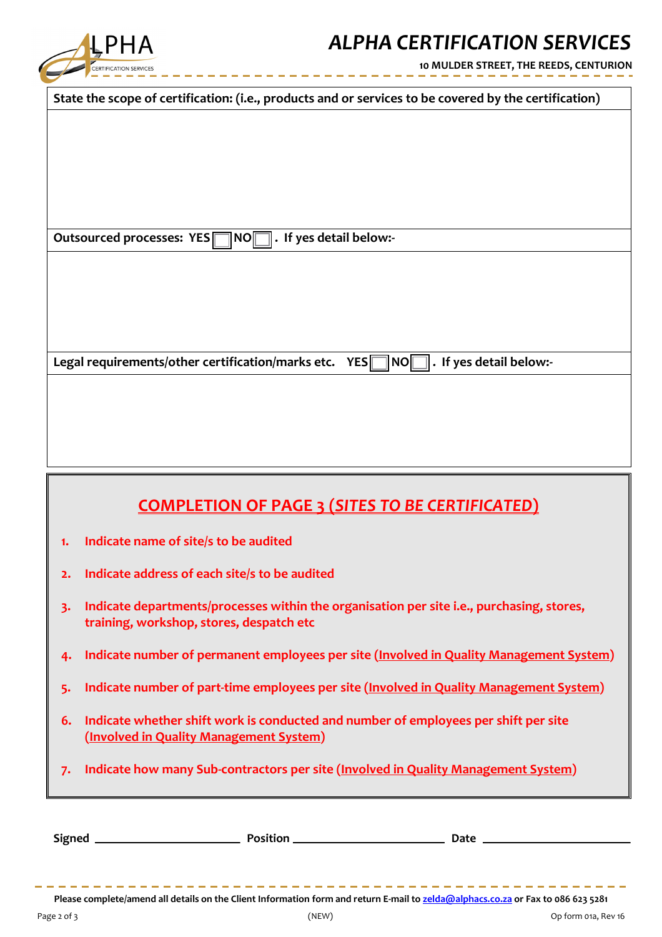

## *ALPHA CERTIFICATION SERVICES*

**10 MULDER STREET, THE REEDS, CENTURION**

| State the scope of certification: (i.e., products and or services to be covered by the certification)                                                             |  |  |  |  |
|-------------------------------------------------------------------------------------------------------------------------------------------------------------------|--|--|--|--|
|                                                                                                                                                                   |  |  |  |  |
|                                                                                                                                                                   |  |  |  |  |
|                                                                                                                                                                   |  |  |  |  |
|                                                                                                                                                                   |  |  |  |  |
|                                                                                                                                                                   |  |  |  |  |
|                                                                                                                                                                   |  |  |  |  |
|                                                                                                                                                                   |  |  |  |  |
| Outsourced processes: YES NOM. If yes detail below:-                                                                                                              |  |  |  |  |
|                                                                                                                                                                   |  |  |  |  |
|                                                                                                                                                                   |  |  |  |  |
|                                                                                                                                                                   |  |  |  |  |
|                                                                                                                                                                   |  |  |  |  |
|                                                                                                                                                                   |  |  |  |  |
|                                                                                                                                                                   |  |  |  |  |
| Legal requirements/other certification/marks etc.<br>$\bm{\mathsf{No}}\bm{\mathsf{\mathsf{\mathsf{\mathsf{\mathsf{I}}}}}}$<br>$\ $ . If yes detail below:-<br>YES |  |  |  |  |
|                                                                                                                                                                   |  |  |  |  |
|                                                                                                                                                                   |  |  |  |  |
|                                                                                                                                                                   |  |  |  |  |
|                                                                                                                                                                   |  |  |  |  |
|                                                                                                                                                                   |  |  |  |  |
|                                                                                                                                                                   |  |  |  |  |
|                                                                                                                                                                   |  |  |  |  |
| <b>COMPLETION OF PAGE 3 (SITES TO BE CERTIFICATED)</b>                                                                                                            |  |  |  |  |
| Indicate name of site/s to be audited<br>1.                                                                                                                       |  |  |  |  |
|                                                                                                                                                                   |  |  |  |  |
| Indicate address of each site/s to be audited<br>2.                                                                                                               |  |  |  |  |
| Indicate departments/processes within the organisation per site i.e., purchasing, stores,<br>3.                                                                   |  |  |  |  |
| training, workshop, stores, despatch etc                                                                                                                          |  |  |  |  |
|                                                                                                                                                                   |  |  |  |  |
| Indicate number of permanent employees per site (Involved in Quality Management System)<br>4.                                                                     |  |  |  |  |

- **5. Indicate number of part-time employees per site (Involved in Quality Management System)**
- **6. Indicate whether shift work is conducted and number of employees per shift per site (Involved in Quality Management System)**
- **7. Indicate how many Sub-contractors per site (Involved in Quality Management System)**

| <b>Signed</b> | <b>Position</b> | Date |
|---------------|-----------------|------|
|               |                 |      |

Please complete/amend all details on the Client Information form and return E-mail to zelda@alphacs.co.za or Fax to 086 623 5281